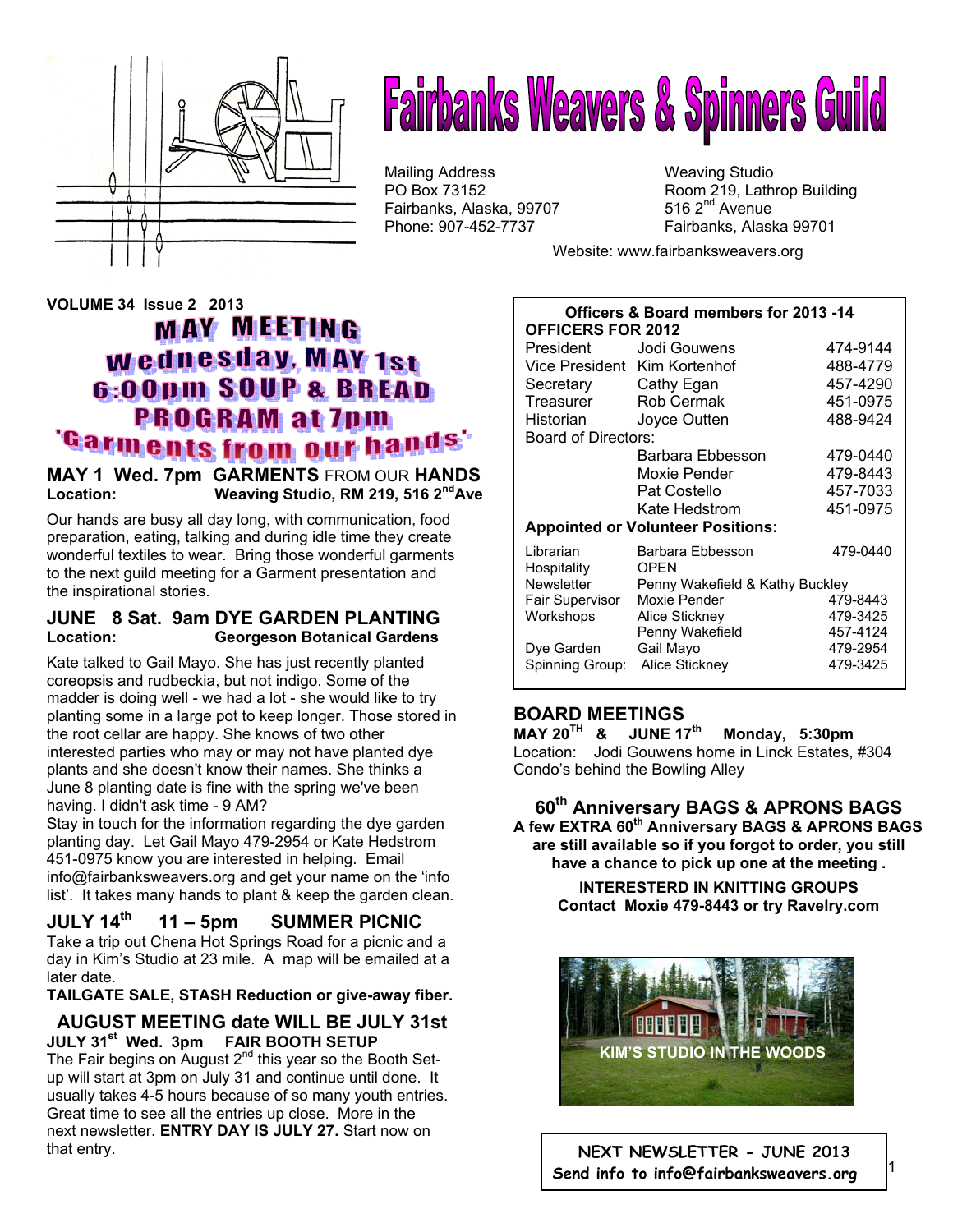

# **Fairbanks Weavers & Spinners Guild**

Mailing Address Mailing Studio<br>
PO Box 73152 May 19, Lath Fairbanks, Alaska, 99707

Room 219, Lathrop Building 516  $2<sup>nd</sup>$  Avenue Phone: 907-452-7737 Fairbanks, Alaska 99701

Website: www.fairbanksweavers.org

# **VOLUME 34 Issue 2 2013 MAY MEETING** wednesday, MAY 1st 6:00pm SOUP & BREAD **PROGRAM at 7pm** 'Garments from our hands

#### **MAY 1 Wed. 7pm GARMENTS** FROM OUR **HANDS**  Location: Weaving Studio, RM 219, 516 2<sup>nd</sup>Ave

Our hands are busy all day long, with communication, food preparation, eating, talking and during idle time they create wonderful textiles to wear. Bring those wonderful garments to the next guild meeting for a Garment presentation and the inspirational stories.

## **JUNE 8 Sat. 9am DYE GARDEN PLANTING Location: Georgeson Botanical Gardens**

Kate talked to Gail Mayo. She has just recently planted coreopsis and rudbeckia, but not indigo. Some of the madder is doing well - we had a lot - she would like to try planting some in a large pot to keep longer. Those stored in the root cellar are happy. She knows of two other interested parties who may or may not have planted dye plants and she doesn't know their names. She thinks a June 8 planting date is fine with the spring we've been having. I didn't ask time - 9 AM?

Stay in touch for the information regarding the dye garden planting day. Let Gail Mayo 479-2954 or Kate Hedstrom 451-0975 know you are interested in helping. Email info@fairbanksweavers.org and get your name on the 'info list'. It takes many hands to plant & keep the garden clean.

# **JULY 14th 11 – 5pm SUMMER PICNIC**

Take a trip out Chena Hot Springs Road for a picnic and a day in Kim's Studio at 23 mile. A map will be emailed at a later date.

**TAILGATE SALE, STASH Reduction or give-away fiber.** 

#### **AUGUST MEETING date WILL BE JULY 31st JULY 31st Wed. 3pm FAIR BOOTH SETUP**

The Fair begins on August  $2^{nd}$  this year so the Booth Setup will start at 3pm on July 31 and continue until done. It usually takes 4-5 hours because of so many youth entries. Great time to see all the entries up close. More in the next newsletter. **ENTRY DAY IS JULY 27.** Start now on that entry.

#### **Officers & Board members for 2013 -14 OFFICERS FOR 2012**

| President                                | Jodi Gouwens                    | 474-9144 |
|------------------------------------------|---------------------------------|----------|
|                                          | Vice President Kim Kortenhof    | 488-4779 |
| Secretary                                | Cathy Egan                      | 457-4290 |
| Treasurer                                | Rob Cermak                      | 451-0975 |
| Historian                                | Joyce Outten                    | 488-9424 |
| Board of Directors:                      |                                 |          |
|                                          | Barbara Ebbesson                | 479-0440 |
|                                          | Moxie Pender                    | 479-8443 |
|                                          | Pat Costello                    | 457-7033 |
|                                          | Kate Hedstrom                   | 451-0975 |
| <b>Appointed or Volunteer Positions:</b> |                                 |          |
| Librarian<br>Hospitality                 | Barbara Ebbesson<br><b>OPEN</b> | 479-0440 |
| Newsletter                               | Penny Wakefield & Kathy Buckley |          |
| Fair Supervisor                          | Moxie Pender                    | 479-8443 |
| Workshops                                | Alice Stickney                  | 479-3425 |
|                                          | Penny Wakefield                 | 457-4124 |
| Dye Garden                               | Gail Mayo                       | 479-2954 |
| Spinning Group:                          | Alice Stickney                  | 479-3425 |

# **BOARD MEETINGS**

**MAY 20TH & JUNE 17th Monday, 5:30pm**  Location: Jodi Gouwens home in Linck Estates, #304 Condo's behind the Bowling Alley

#### **60th Anniversary BAGS & APRONS BAGS A few EXTRA 60th Anniversary BAGS & APRONS BAGS are still available so if you forgot to order, you still have a chance to pick up one at the meeting .**

**INTERESTERD IN KNITTING GROUPS Contact Moxie 479-8443 or try Ravelry.com**



**NEXT NEWSLETTER - JUNE 2013 Send info to info@fairbanksweavers.org**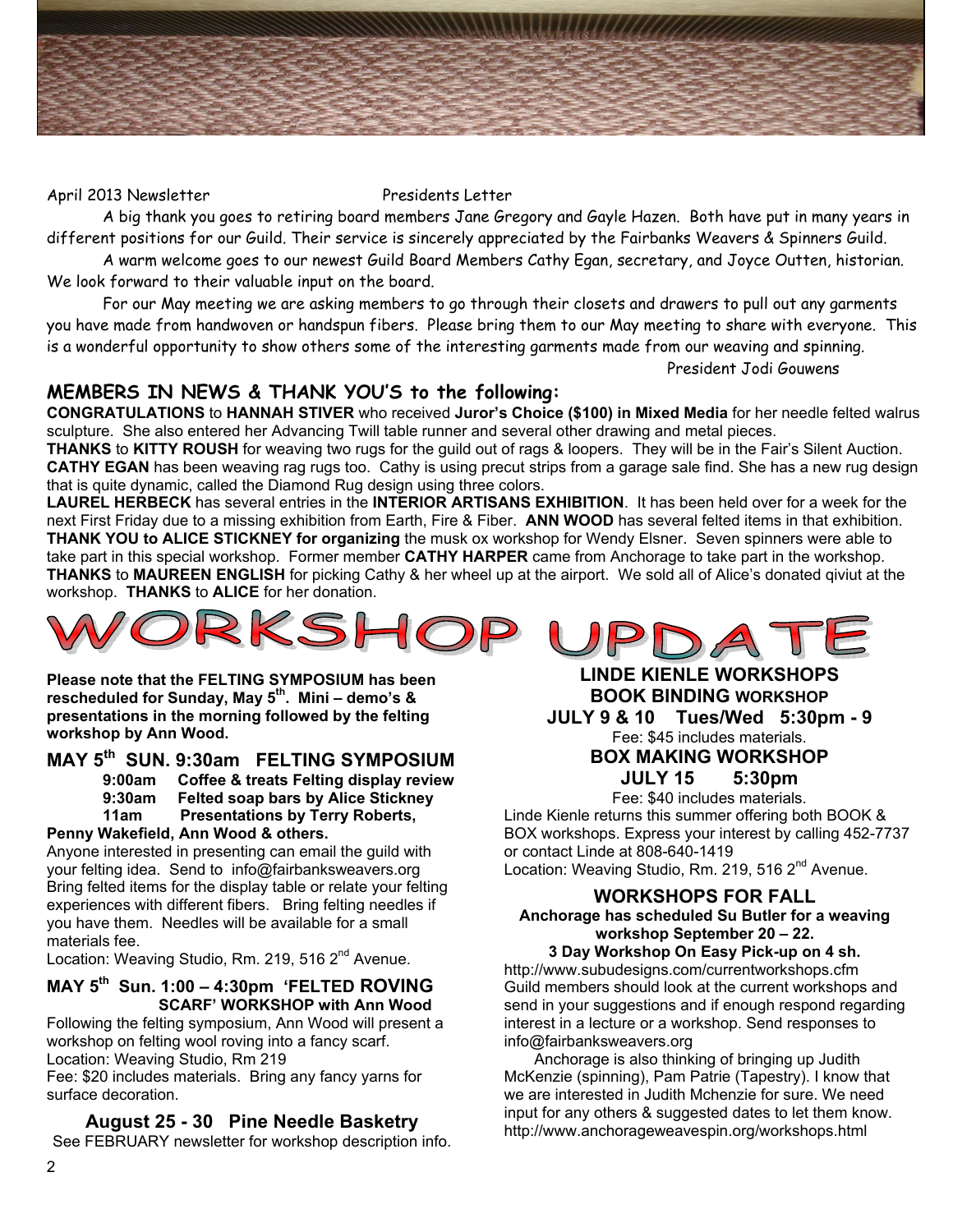

#### April 2013 Newsletter Presidents Letter

 A big thank you goes to retiring board members Jane Gregory and Gayle Hazen. Both have put in many years in different positions for our Guild. Their service is sincerely appreciated by the Fairbanks Weavers & Spinners Guild.

 A warm welcome goes to our newest Guild Board Members Cathy Egan, secretary, and Joyce Outten, historian. We look forward to their valuable input on the board.

 For our May meeting we are asking members to go through their closets and drawers to pull out any garments you have made from handwoven or handspun fibers. Please bring them to our May meeting to share with everyone. This is a wonderful opportunity to show others some of the interesting garments made from our weaving and spinning. President Jodi Gouwens

## **MEMBERS IN NEWS & THANK YOU'S to the following:**

**CONGRATULATIONS** to **HANNAH STIVER** who received **Juror's Choice (\$100) in Mixed Media** for her needle felted walrus sculpture. She also entered her Advancing Twill table runner and several other drawing and metal pieces.

**THANKS** to **KITTY ROUSH** for weaving two rugs for the guild out of rags & loopers.They will be in the Fair's Silent Auction. **CATHY EGAN** has been weaving rag rugs too. Cathy is using precut strips from a garage sale find. She has a new rug design that is quite dynamic, called the Diamond Rug design using three colors.

**LAUREL HERBECK** has several entries in the **INTERIOR ARTISANS EXHIBITION**. It has been held over for a week for the next First Friday due to a missing exhibition from Earth, Fire & Fiber. **ANN WOOD** has several felted items in that exhibition. **THANK YOU to ALICE STICKNEY for organizing** the musk ox workshop for Wendy Elsner. Seven spinners were able to take part in this special workshop. Former member **CATHY HARPER** came from Anchorage to take part in the workshop. **THANKS** to **MAUREEN ENGLISH** for picking Cathy & her wheel up at the airport. We sold all of Alice's donated qiviut at the workshop. **THANKS** to **ALICE** for her donation.



**Please note that the FELTING SYMPOSIUM has been rescheduled for Sunday, May 5th. Mini – demo's & presentations in the morning followed by the felting workshop by Ann Wood.** 

# **MAY 5th SUN. 9:30am FELTING SYMPOSIUM**

**9:00am Coffee & treats Felting display review 9:30am Felted soap bars by Alice Stickney 11am Presentations by Terry Roberts,** 

#### **Penny Wakefield, Ann Wood & others.**

Anyone interested in presenting can email the guild with your felting idea. Send to info@fairbanksweavers.org Bring felted items for the display table or relate your felting experiences with different fibers. Bring felting needles if you have them. Needles will be available for a small materials fee.

Location: Weaving Studio, Rm. 219, 516 2<sup>nd</sup> Avenue.

#### **MAY 5th Sun. 1:00 – 4:30pm 'FELTED ROVING SCARF' WORKSHOP with Ann Wood**

Following the felting symposium, Ann Wood will present a workshop on felting wool roving into a fancy scarf. Location: Weaving Studio, Rm 219

Fee: \$20 includes materials. Bring any fancy yarns for surface decoration.

#### **August 25 - 30 Pine Needle Basketry**

See FEBRUARY newsletter for workshop description info.

**LINDE KIENLE WORKSHOPS BOOK BINDING WORKSHOP JULY 9 & 10 Tues/Wed 5:30pm - 9**  Fee: \$45 includes materials. **BOX MAKING WORKSHOP** 

**JULY 15 5:30pm**  Fee: \$40 includes materials.

Linde Kienle returns this summer offering both BOOK & BOX workshops. Express your interest by calling 452-7737 or contact Linde at 808-640-1419 Location: Weaving Studio, Rm. 219, 516 2<sup>nd</sup> Avenue.

#### **WORKSHOPS FOR FALL Anchorage has scheduled Su Butler for a weaving workshop September 20 – 22.**

**3 Day Workshop On Easy Pick-up on 4 sh.**  http://www.subudesigns.com/currentworkshops.cfm

Guild members should look at the current workshops and send in your suggestions and if enough respond regarding interest in a lecture or a workshop. Send responses to info@fairbanksweavers.org

 Anchorage is also thinking of bringing up Judith McKenzie (spinning), Pam Patrie (Tapestry). I know that we are interested in Judith Mchenzie for sure. We need input for any others & suggested dates to let them know. http://www.anchorageweavespin.org/workshops.html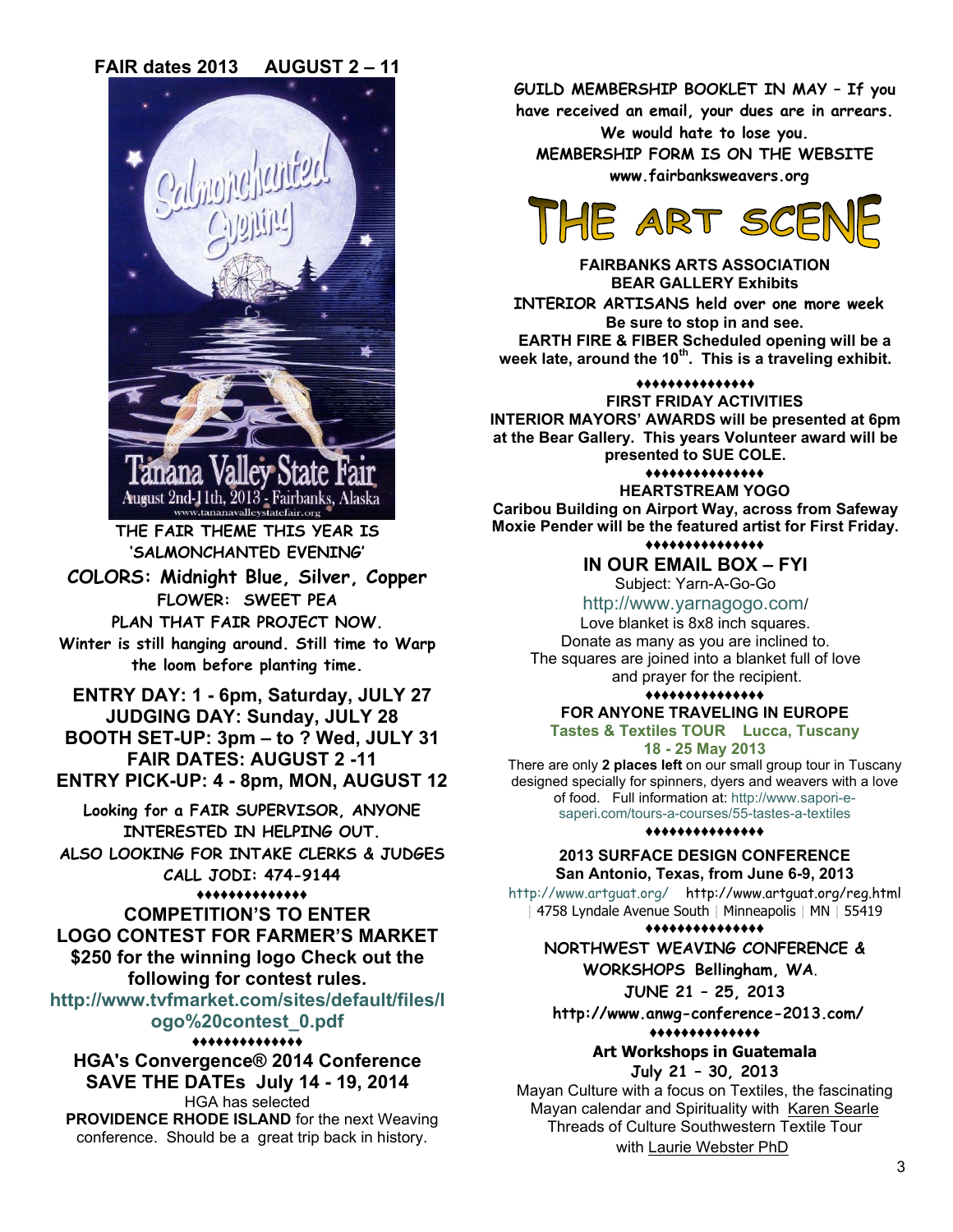**FAIR dates 2013 AUGUST 2 – 11** 



**THE FAIR THEME THIS YEAR IS 'SALMONCHANTED EVENING'** 

**COLORS: Midnight Blue, Silver, Copper FLOWER: SWEET PEA PLAN THAT FAIR PROJECT NOW.** 

**Winter is still hanging around. Still time to Warp the loom before planting time.** 

**ENTRY DAY: 1 - 6pm, Saturday, JULY 27 JUDGING DAY: Sunday, JULY 28 BOOTH SET-UP: 3pm – to ? Wed, JULY 31 FAIR DATES: AUGUST 2 -11** 

**ENTRY PICK-UP: 4 - 8pm, MON, AUGUST 12** 

**Looking for a FAIR SUPERVISOR, ANYONE INTERESTED IN HELPING OUT. ALSO LOOKING FOR INTAKE CLERKS & JUDGES CALL JODI: 474-9144** 

# **♦♦♦♦♦♦♦♦♦♦♦♦♦♦**

**COMPETITION'S TO ENTER LOGO CONTEST FOR FARMER'S MARKET \$250 for the winning logo Check out the following for contest rules.** 

**http://www.tvfmarket.com/sites/default/files/l ogo%20contest\_0.pdf** 

#### **♦♦♦♦♦♦♦♦♦♦♦♦♦♦**

**HGA's Convergence® 2014 Conference SAVE THE DATEs July 14 - 19, 2014** HGA has selected **PROVIDENCE RHODE ISLAND** for the next Weaving

conference. Should be a great trip back in history.

**GUILD MEMBERSHIP BOOKLET IN MAY – If you** 

**have received an email, your dues are in arrears. We would hate to lose you.** 

**MEMBERSHIP FORM IS ON THE WEBSITE www.fairbanksweavers.org** 



**FAIRBANKS ARTS ASSOCIATION BEAR GALLERY Exhibits INTERIOR ARTISANS held over one more week Be sure to stop in and see. EARTH FIRE & FIBER Scheduled opening will be a week late, around the 10th. This is a traveling exhibit.** 

**♦♦♦♦♦♦♦♦♦♦♦♦♦♦♦**

**FIRST FRIDAY ACTIVITIES INTERIOR MAYORS' AWARDS will be presented at 6pm at the Bear Gallery. This years Volunteer award will be presented to SUE COLE.** 

**♦♦♦♦♦♦♦♦♦♦♦♦♦♦♦**

**HEARTSTREAM YOGO Caribou Building on Airport Way, across from Safeway Moxie Pender will be the featured artist for First Friday.**

#### **♦♦♦♦♦♦♦♦♦♦♦♦♦♦♦ IN OUR EMAIL BOX – FYI**

Subject: Yarn-A-Go-Go

http://www.yarnagogo.com/

Love blanket is 8x8 inch squares. Donate as many as you are inclined to. The squares are joined into a blanket full of love and prayer for the recipient.

#### **♦♦♦♦♦♦♦♦♦♦♦♦♦♦♦**

#### **FOR ANYONE TRAVELING IN EUROPE Tastes & Textiles TOUR Lucca, Tuscany**

**18 - 25 May 2013** 

There are only **2 places left** on our small group tour in Tuscany designed specially for spinners, dyers and weavers with a love of food. Full information at: http://www.sapori-esaperi.com/tours-a-courses/55-tastes-a-textiles

**♦♦♦♦♦♦♦♦♦♦♦♦♦♦♦**

**2013 SURFACE DESIGN CONFERENCE San Antonio, Texas, from June 6-9, 2013**

http://www.artguat.org/ http://www.artguat.org/reg.html | 4758 Lyndale Avenue South | Minneapolis | MN | 55419

#### **♦♦♦♦♦♦♦♦♦♦♦♦♦♦♦**

**NORTHWEST WEAVING CONFERENCE & WORKSHOPS Bellingham, WA**.

**JUNE 21 – 25, 2013** 

 **http://www.anwg-conference-2013.com/** 

**♦♦♦♦♦♦♦♦♦♦♦♦♦♦**

## **Art Workshops in Guatemala**

**July 21 – 30, 2013** 

Mayan Culture with a focus on Textiles, the fascinating Mayan calendar and Spirituality with Karen Searle Threads of Culture Southwestern Textile Tour with Laurie Webster PhD